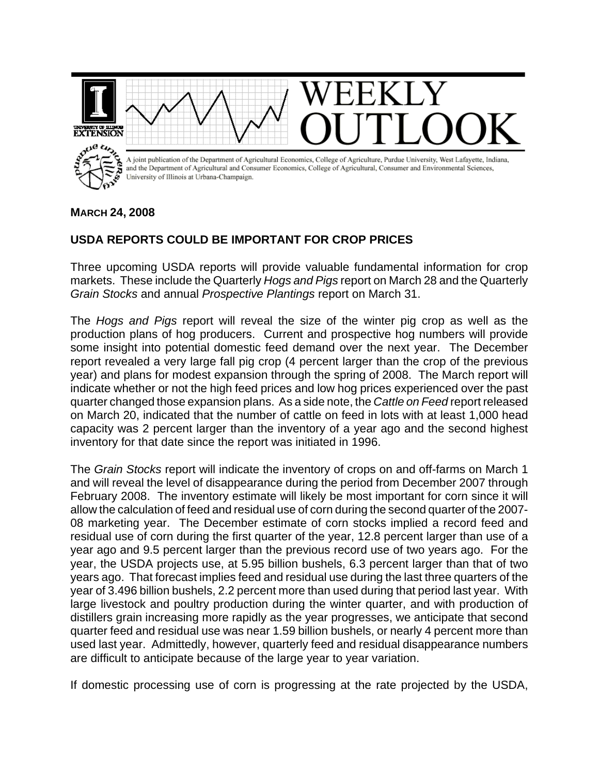

## **MARCH 24, 2008**

## **USDA REPORTS COULD BE IMPORTANT FOR CROP PRICES**

Three upcoming USDA reports will provide valuable fundamental information for crop markets. These include the Quarterly *Hogs and Pigs* report on March 28 and the Quarterly *Grain Stocks* and annual *Prospective Plantings* report on March 31.

The *Hogs and Pigs* report will reveal the size of the winter pig crop as well as the production plans of hog producers. Current and prospective hog numbers will provide some insight into potential domestic feed demand over the next year. The December report revealed a very large fall pig crop (4 percent larger than the crop of the previous year) and plans for modest expansion through the spring of 2008. The March report will indicate whether or not the high feed prices and low hog prices experienced over the past quarter changed those expansion plans. As a side note, the *Cattle on Feed* report released on March 20, indicated that the number of cattle on feed in lots with at least 1,000 head capacity was 2 percent larger than the inventory of a year ago and the second highest inventory for that date since the report was initiated in 1996.

The *Grain Stocks* report will indicate the inventory of crops on and off-farms on March 1 and will reveal the level of disappearance during the period from December 2007 through February 2008. The inventory estimate will likely be most important for corn since it will allow the calculation of feed and residual use of corn during the second quarter of the 2007- 08 marketing year. The December estimate of corn stocks implied a record feed and residual use of corn during the first quarter of the year, 12.8 percent larger than use of a year ago and 9.5 percent larger than the previous record use of two years ago. For the year, the USDA projects use, at 5.95 billion bushels, 6.3 percent larger than that of two years ago. That forecast implies feed and residual use during the last three quarters of the year of 3.496 billion bushels, 2.2 percent more than used during that period last year. With large livestock and poultry production during the winter quarter, and with production of distillers grain increasing more rapidly as the year progresses, we anticipate that second quarter feed and residual use was near 1.59 billion bushels, or nearly 4 percent more than used last year. Admittedly, however, quarterly feed and residual disappearance numbers are difficult to anticipate because of the large year to year variation.

If domestic processing use of corn is progressing at the rate projected by the USDA,